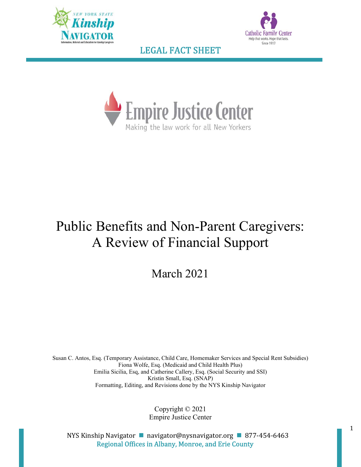





# Public Benefits and Non-Parent Caregivers: A Review of Financial Support

March 2021

Susan C. Antos, Esq. (Temporary Assistance, Child Care, Homemaker Services and Special Rent Subsidies) Fiona Wolfe, Esq. (Medicaid and Child Health Plus) Emilia Sicilia, Esq, and Catherine Callery, Esq. (Social Security and SSI) Kristin Small, Esq. (SNAP) Formatting, Editing, and Revisions done by the NYS Kinship Navigator

> Copyright © 2021 Empire Justice Center

NYS Kinship Navigator **navigator@nysnavigator.org 1 877-454-6463** Regional Offices in Albany, Monroe, and Erie County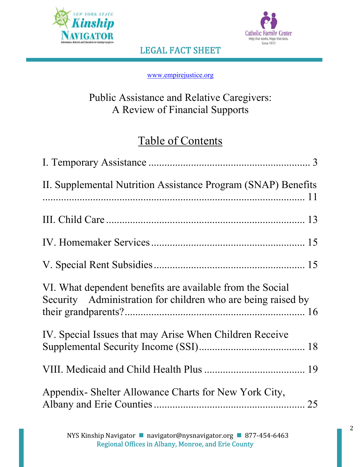



www.empirejustice.org

# Public Assistance and Relative Caregivers: A Review of Financial Supports

# Table of Contents

| II. Supplemental Nutrition Assistance Program (SNAP) Benefits                                                             |
|---------------------------------------------------------------------------------------------------------------------------|
|                                                                                                                           |
|                                                                                                                           |
|                                                                                                                           |
| VI. What dependent benefits are available from the Social<br>Security Administration for children who are being raised by |
| IV. Special Issues that may Arise When Children Receive                                                                   |
|                                                                                                                           |
| Appendix - Shelter Allowance Charts for New York City,                                                                    |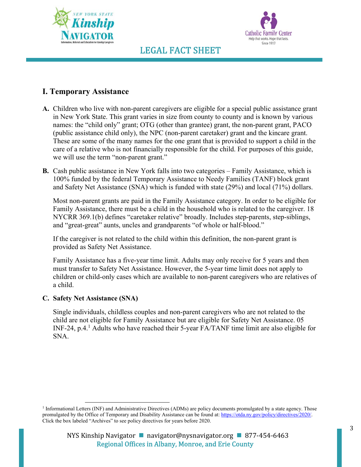



### **I. Temporary Assistance**

- **A.** Children who live with non-parent caregivers are eligible for a special public assistance grant in New York State. This grant varies in size from county to county and is known by various names: the "child only" grant; OTG (other than grantee) grant, the non-parent grant, PACO (public assistance child only), the NPC (non-parent caretaker) grant and the kincare grant. These are some of the many names for the one grant that is provided to support a child in the care of a relative who is not financially responsible for the child. For purposes of this guide, we will use the term "non-parent grant."
- **B.** Cash public assistance in New York falls into two categories Family Assistance, which is 100% funded by the federal Temporary Assistance to Needy Families (TANF) block grant and Safety Net Assistance (SNA) which is funded with state (29%) and local (71%) dollars.

Most non-parent grants are paid in the Family Assistance category. In order to be eligible for Family Assistance, there must be a child in the household who is related to the caregiver. 18 NYCRR 369.1(b) defines "caretaker relative" broadly. Includes step-parents, step-siblings, and "great-great" aunts, uncles and grandparents "of whole or half-blood."

If the caregiver is not related to the child within this definition, the non-parent grant is provided as Safety Net Assistance.

Family Assistance has a five-year time limit. Adults may only receive for 5 years and then must transfer to Safety Net Assistance. However, the 5-year time limit does not apply to children or child-only cases which are available to non-parent caregivers who are relatives of a child.

### **C. Safety Net Assistance (SNA)**

Single individuals, childless couples and non-parent caregivers who are not related to the child are not eligible for Family Assistance but are eligible for Safety Net Assistance. 05 INF-24, p.4.<sup>1</sup> Adults who have reached their 5-year FA/TANF time limit are also eligible for SNA.

<sup>&</sup>lt;sup>1</sup> Informational Letters (INF) and Administrative Directives (ADMs) are policy documents promulgated by a state agency. Those promulgated by the Office of Temporary and Disability Assistance can be found at: https://otda.ny.gov/policy/directives/2020/. Click the box labeled "Archives" to see policy directives for years before 2020.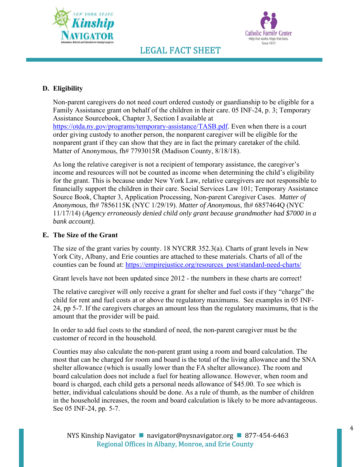



### **D. Eligibility**

Non-parent caregivers do not need court ordered custody or guardianship to be eligible for a Family Assistance grant on behalf of the children in their care. 05 INF-24, p. 3; Temporary Assistance Sourcebook, Chapter 3, Section I available at https://otda.ny.gov/programs/temporary-assistance/TASB.pdf. Even when there is a court order giving custody to another person, the nonparent caregiver will be eligible for the nonparent grant if they can show that they are in fact the primary caretaker of the child. Matter of Anonymous, fh# 7793015R (Madison County, 8/18/18).

As long the relative caregiver is not a recipient of temporary assistance, the caregiver's income and resources will not be counted as income when determining the child's eligibility for the grant. This is because under New York Law, relative caregivers are not responsible to financially support the children in their care. Social Services Law 101; Temporary Assistance Source Book, Chapter 3, Application Processing, Non-parent Caregiver Cases. *Matter of Anonymous*, fh# 7856115K (NYC 1/29/19). *Matter of Anonymous*, fh# 6857464Q (NYC 11/17/14) (*Agency erroneously denied child only grant because grandmother had \$7000 in a bank account).*

### **E. The Size of the Grant**

The size of the grant varies by county. 18 NYCRR 352.3(a). Charts of grant levels in New York City, Albany, and Erie counties are attached to these materials. Charts of all of the counties can be found at: https://empirejustice.org/resources\_post/standard-need-charts/

Grant levels have not been updated since 2012 - the numbers in these charts are correct!

The relative caregiver will only receive a grant for shelter and fuel costs if they "charge" the child for rent and fuel costs at or above the regulatory maximums. See examples in 05 INF-24, pp 5-7. If the caregivers charges an amount less than the regulatory maximums, that is the amount that the provider will be paid.

In order to add fuel costs to the standard of need, the non-parent caregiver must be the customer of record in the household.

Counties may also calculate the non-parent grant using a room and board calculation. The most that can be charged for room and board is the total of the living allowance and the SNA shelter allowance (which is usually lower than the FA shelter allowance). The room and board calculation does not include a fuel for heating allowance. However, when room and board is charged, each child gets a personal needs allowance of \$45.00. To see which is better, individual calculations should be done. As a rule of thumb, as the number of children in the household increases, the room and board calculation is likely to be more advantageous. See 05 INF-24, pp. 5-7.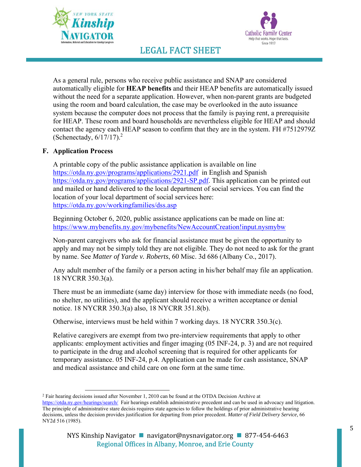



As a general rule, persons who receive public assistance and SNAP are considered automatically eligible for **HEAP benefits** and their HEAP benefits are automatically issued without the need for a separate application. However, when non-parent grants are budgeted using the room and board calculation, the case may be overlooked in the auto issuance system because the computer does not process that the family is paying rent, a prerequisite for HEAP. These room and board households are nevertheless eligible for HEAP and should contact the agency each HEAP season to confirm that they are in the system. FH #7512979Z (Schenectady,  $6/17/17$ ).<sup>2</sup>

### **F. Application Process**

A printable copy of the public assistance application is available on line https://otda.ny.gov/programs/applications/2921.pdf in English and Spanish https://otda.ny.gov/programs/applications/2921-SP.pdf. This application can be printed out and mailed or hand delivered to the local department of social services. You can find the location of your local department of social services here: https://otda.ny.gov/workingfamilies/dss.asp

Beginning October 6, 2020, public assistance applications can be made on line at: https://www.mybenefits.ny.gov/mybenefits/NewAccountCreation!input.nysmybw

Non-parent caregivers who ask for financial assistance must be given the opportunity to apply and may not be simply told they are not eligible. They do not need to ask for the grant by name. See *Matter of Yarde v. Roberts*, 60 Misc. 3d 686 (Albany Co., 2017).

Any adult member of the family or a person acting in his/her behalf may file an application. 18 NYCRR 350.3(a).

There must be an immediate (same day) interview for those with immediate needs (no food, no shelter, no utilities), and the applicant should receive a written acceptance or denial notice. 18 NYCRR 350.3(a) also, 18 NYCRR 351.8(b).

Otherwise, interviews must be held within 7 working days. 18 NYCRR 350.3(c).

Relative caregivers are exempt from two pre-interview requirements that apply to other applicants: employment activities and finger imaging (05 INF-24, p. 3) and are not required to participate in the drug and alcohol screening that is required for other applicants for temporary assistance. 05 INF-24, p.4. Application can be made for cash assistance, SNAP and medical assistance and child care on one form at the same time.

<sup>&</sup>lt;sup>2</sup> Fair hearing decisions issued after November 1, 2010 can be found at the OTDA Decision Archive at

https://otda.ny.gov/hearings/search/ Fair hearings establish administrative precedent and can be used in advocacy and litigation. The principle of administrative stare decisis requires state agencies to follow the holdings of prior administrative hearing decisions, unless the decision provides justification for departing from prior precedent. *Matter of Field Delivery Service,* 66 NY2d 516 (1985).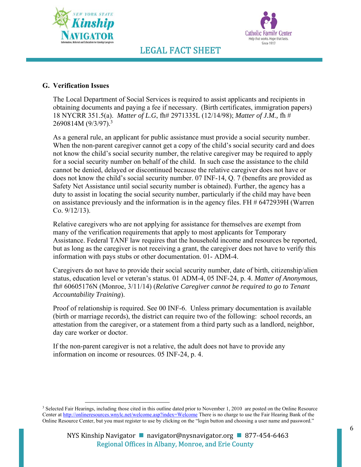



### **G. Verification Issues**

The Local Department of Social Services is required to assist applicants and recipients in obtaining documents and paying a fee if necessary. (Birth certificates, immigration papers) 18 NYCRR 351.5(a). *Matter of L.G*, fh# 2971335L (12/14/98); *Matter of J.M.,* fh # 2690814M (9/3/97).<sup>3</sup>

As a general rule, an applicant for public assistance must provide a social security number. When the non-parent caregiver cannot get a copy of the child's social security card and does not know the child's social security number, the relative caregiver may be required to apply for a social security number on behalf of the child. In such case the assistance to the child cannot be denied, delayed or discontinued because the relative caregiver does not have or does not know the child's social security number. 07 INF-14, Q. 7 (benefits are provided as Safety Net Assistance until social security number is obtained). Further, the agency has a duty to assist in locating the social security number, particularly if the child may have been on assistance previously and the information is in the agency files. FH # 6472939H (Warren Co. 9/12/13).

Relative caregivers who are not applying for assistance for themselves are exempt from many of the verification requirements that apply to most applicants for Temporary Assistance. Federal TANF law requires that the household income and resources be reported, but as long as the caregiver is not receiving a grant, the caregiver does not have to verify this information with pays stubs or other documentation. 01- ADM-4.

Caregivers do not have to provide their social security number, date of birth, citizenship/alien status, education level or veteran's status. 01 ADM-4, 05 INF-24, p. 4. *Matter of Anonymous,* fh# 60605176N (Monroe, 3/11/14) (*Relative Caregiver cannot be required to go to Tenant Accountability Training*).

Proof of relationship is required. See 00 INF-6. Unless primary documentation is available (birth or marriage records), the district can require two of the following: school records, an attestation from the caregiver, or a statement from a third party such as a landlord, neighbor, day care worker or doctor.

If the non-parent caregiver is not a relative, the adult does not have to provide any information on income or resources. 05 INF-24, p. 4.

<sup>&</sup>lt;sup>3</sup> Selected Fair Hearings, including those cited in this outline dated prior to November 1, 2010 are posted on the Online Resource Center at http://onlineresources.wnylc.net/welcome.asp?index=Welcome There is no charge to use the Fair Hearing Bank of the Online Resource Center, but you must register to use by clicking on the "login button and choosing a user name and password."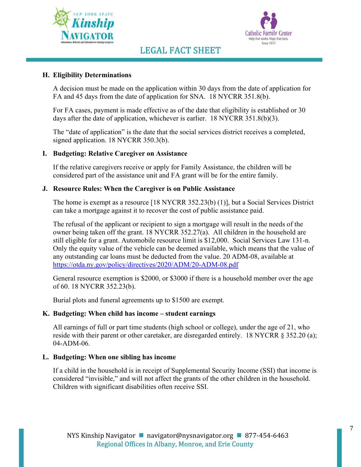



### **H. Eligibility Determinations**

A decision must be made on the application within 30 days from the date of application for FA and 45 days from the date of application for SNA. 18 NYCRR 351.8(b).

For FA cases, payment is made effective as of the date that eligibility is established or 30 days after the date of application, whichever is earlier. 18 NYCRR 351.8(b)(3).

The "date of application" is the date that the social services district receives a completed, signed application. 18 NYCRR 350.3(b).

#### **I. Budgeting: Relative Caregiver on Assistance**

If the relative caregivers receive or apply for Family Assistance, the children will be considered part of the assistance unit and FA grant will be for the entire family.

#### **J. Resource Rules: When the Caregiver is on Public Assistance**

The home is exempt as a resource [18 NYCRR 352.23(b) (1)], but a Social Services District can take a mortgage against it to recover the cost of public assistance paid.

The refusal of the applicant or recipient to sign a mortgage will result in the needs of the owner being taken off the grant. 18 NYCRR 352.27(a). All children in the household are still eligible for a grant. Automobile resource limit is \$12,000. Social Services Law 131-n. Only the equity value of the vehicle can be deemed available, which means that the value of any outstanding car loans must be deducted from the value. 20 ADM-08, available at https://otda.ny.gov/policy/directives/2020/ADM/20-ADM-08.pdf

General resource exemption is \$2000, or \$3000 if there is a household member over the age of 60. 18 NYCRR 352.23(b).

Burial plots and funeral agreements up to \$1500 are exempt.

#### **K. Budgeting: When child has income – student earnings**

All earnings of full or part time students (high school or college), under the age of 21, who reside with their parent or other caretaker, are disregarded entirely. 18 NYCRR  $\&$  352.20 (a); 04-ADM-06.

#### **L. Budgeting: When one sibling has income**

If a child in the household is in receipt of Supplemental Security Income (SSI) that income is considered "invisible," and will not affect the grants of the other children in the household. Children with significant disabilities often receive SSI.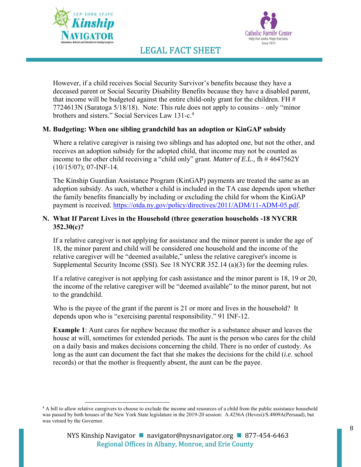



However, if a child receives Social Security Survivor's benefits because they have a deceased parent or Social Security Disability Benefits because they have a disabled parent, that income will be budgeted against the entire child-only grant for the children. FH  $#$ 7724613N (Saratoga 5/18/18). Note: This rule does not apply to cousins – only "minor brothers and sisters." Social Services Law 131-c.<sup>4</sup>

### **M. Budgeting: When one sibling grandchild has an adoption or KinGAP subsidy**

Where a relative caregiver is raising two siblings and has adopted one, but not the other, and receives an adoption subsidy for the adopted child, that income may not be counted as income to the other child receiving a "child only" grant. *Matter of E.L.*, fh # 4647562Y (10/15/07); 07-INF-14.

The Kinship Guardian Assistance Program (KinGAP) payments are treated the same as an adoption subsidy. As such, whether a child is included in the TA case depends upon whether the family benefits financially by including or excluding the child for whom the KinGAP payment is received. https://otda.ny.gov/policy/directives/2011/ADM/11-ADM-05.pdf.

### **N. What If Parent Lives in the Household (three generation households -18 NYCRR 352.30(c)?**

If a relative caregiver is not applying for assistance and the minor parent is under the age of 18, the minor parent and child will be considered one household and the income of the relative caregiver will be "deemed available," unless the relative caregiver's income is Supplemental Security Income (SSI). See 18 NYCRR 352.14 (a)(3) for the deeming rules.

If a relative caregiver is not applying for cash assistance and the minor parent is 18, 19 or 20, the income of the relative caregiver will be "deemed available" to the minor parent, but not to the grandchild.

Who is the payee of the grant if the parent is 21 or more and lives in the household? It depends upon who is "exercising parental responsibility." 91 INF-12.

**Example 1**: Aunt cares for nephew because the mother is a substance abuser and leaves the house at will, sometimes for extended periods. The aunt is the person who cares for the child on a daily basis and makes decisions concerning the child. There is no order of custody. As long as the aunt can document the fact that she makes the decisions for the child (*i.e*. school records) or that the mother is frequently absent, the aunt can be the payee.

<sup>&</sup>lt;sup>4</sup> A bill to allow relative caregivers to choose to exclude the income and resources of a child from the public assistance household was passed by both houses of the New York State legislature in the 2019-20 session: A.4256A (Hevesi)/S.4809A(Persaud), but was vetoed by the Governor.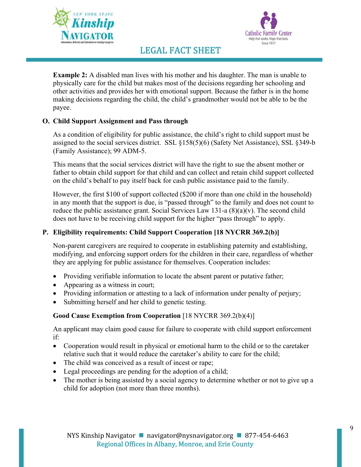



**Example 2:** A disabled man lives with his mother and his daughter. The man is unable to physically care for the child but makes most of the decisions regarding her schooling and other activities and provides her with emotional support. Because the father is in the home making decisions regarding the child, the child's grandmother would not be able to be the payee.

### **O. Child Support Assignment and Pass through**

As a condition of eligibility for public assistance, the child's right to child support must be assigned to the social services district. SSL §158(5)(6) (Safety Net Assistance), SSL §349-b (Family Assistance); 99 ADM-5.

This means that the social services district will have the right to sue the absent mother or father to obtain child support for that child and can collect and retain child support collected on the child's behalf to pay itself back for cash public assistance paid to the family.

However, the first \$100 of support collected (\$200 if more than one child in the household) in any month that the support is due, is "passed through" to the family and does not count to reduce the public assistance grant. Social Services Law 131-a  $(8)(a)(v)$ . The second child does not have to be receiving child support for the higher "pass through" to apply.

### **P. Eligibility requirements: Child Support Cooperation [18 NYCRR 369.2(b)]**

Non-parent caregivers are required to cooperate in establishing paternity and establishing, modifying, and enforcing support orders for the children in their care, regardless of whether they are applying for public assistance for themselves. Cooperation includes:

- Providing verifiable information to locate the absent parent or putative father;
- Appearing as a witness in court;
- Providing information or attesting to a lack of information under penalty of perjury;
- Submitting herself and her child to genetic testing.

### **Good Cause Exemption from Cooperation** [18 NYCRR 369.2(b)(4)]

An applicant may claim good cause for failure to cooperate with child support enforcement if:

- Cooperation would result in physical or emotional harm to the child or to the caretaker relative such that it would reduce the caretaker's ability to care for the child;
- The child was conceived as a result of incest or rape;
- Legal proceedings are pending for the adoption of a child;
- The mother is being assisted by a social agency to determine whether or not to give up a child for adoption (not more than three months).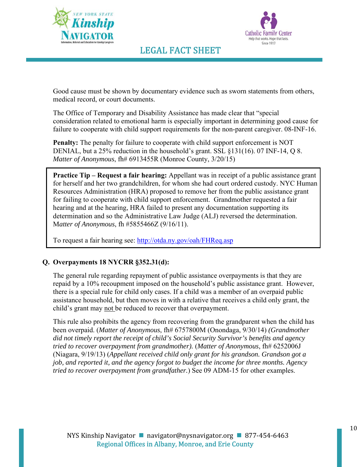



Good cause must be shown by documentary evidence such as sworn statements from others, medical record, or court documents.

The Office of Temporary and Disability Assistance has made clear that "special consideration related to emotional harm is especially important in determining good cause for failure to cooperate with child support requirements for the non-parent caregiver. 08-INF-16.

**Penalty:** The penalty for failure to cooperate with child support enforcement is NOT DENIAL, but a 25% reduction in the household's grant. SSL §131(16). 07 INF-14, Q 8. *Matter of Anonymous*, fh# 6913455R (Monroe County, 3/20/15)

**Practice Tip – Request a fair hearing:** Appellant was in receipt of a public assistance grant for herself and her two grandchildren, for whom she had court ordered custody. NYC Human Resources Administration (HRA) proposed to remove her from the public assistance grant for failing to cooperate with child support enforcement. Grandmother requested a fair hearing and at the hearing, HRA failed to present any documentation supporting its determination and so the Administrative Law Judge (ALJ) reversed the determination. M*atter of Anonymous*, fh #5855466Z (9/16/11).

To request a fair hearing see: http://otda.ny.gov/oah/FHReq.asp

### **Q. Overpayments 18 NYCRR §352.31(d):**

The general rule regarding repayment of public assistance overpayments is that they are repaid by a 10% recoupment imposed on the household's public assistance grant. However, there is a special rule for child only cases. If a child was a member of an overpaid public assistance household, but then moves in with a relative that receives a child only grant, the child's grant may not be reduced to recover that overpayment.

This rule also prohibits the agency from recovering from the grandparent when the child has been overpaid. (*Matter of Anonymous*, fh# 6757800M (Onondaga, 9/30/14) *(Grandmother did not timely report the receipt of child's Social Security Survivor's benefits and agency tried to recover overpayment from grandmother).* (*Matter of Anonymous*, fh# 6252006J (Niagara, 9/19/13) (*Appellant received child only grant for his grandson. Grandson got a job, and reported it, and the agency forgot to budget the income for three months. Agency tried to recover overpayment from grandfather.*) See 09 ADM-15 for other examples.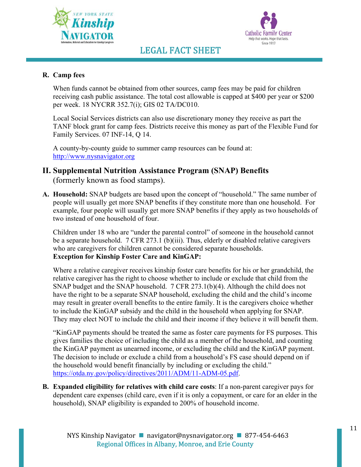



### **R. Camp fees**

When funds cannot be obtained from other sources, camp fees may be paid for children receiving cash public assistance. The total cost allowable is capped at \$400 per year or \$200 per week. 18 NYCRR 352.7(i); GIS 02 TA/DC010.

Local Social Services districts can also use discretionary money they receive as part the TANF block grant for camp fees. Districts receive this money as part of the Flexible Fund for Family Services. 07 INF-14, Q 14.

A county-by-county guide to summer camp resources can be found at: http://www.nysnavigator.org

### **II. Supplemental Nutrition Assistance Program (SNAP) Benefits** (formerly known as food stamps).

**A. Household:** SNAP budgets are based upon the concept of "household." The same number of people will usually get more SNAP benefits if they constitute more than one household. For example, four people will usually get more SNAP benefits if they apply as two households of two instead of one household of four.

Children under 18 who are "under the parental control" of someone in the household cannot be a separate household. 7 CFR 273.1 (b)(iii). Thus, elderly or disabled relative caregivers who are caregivers for children cannot be considered separate households. **Exception for Kinship Foster Care and KinGAP:** 

Where a relative caregiver receives kinship foster care benefits for his or her grandchild, the relative caregiver has the right to choose whether to include or exclude that child from the SNAP budget and the SNAP household. 7 CFR 273.1(b)(4). Although the child does not have the right to be a separate SNAP household, excluding the child and the child's income may result in greater overall benefits to the entire family. It is the caregivers choice whether to include the KinGAP subsidy and the child in the household when applying for SNAP. They may elect NOT to include the child and their income if they believe it will benefit them.

"KinGAP payments should be treated the same as foster care payments for FS purposes. This gives families the choice of including the child as a member of the household, and counting the KinGAP payment as unearned income, or excluding the child and the KinGAP payment. The decision to include or exclude a child from a household's FS case should depend on if the household would benefit financially by including or excluding the child." https://otda.ny.gov/policy/directives/2011/ADM/11-ADM-05.pdf.

**B. Expanded eligibility for relatives with child care costs**: If a non-parent caregiver pays for dependent care expenses (child care, even if it is only a copayment, or care for an elder in the household), SNAP eligibility is expanded to 200% of household income.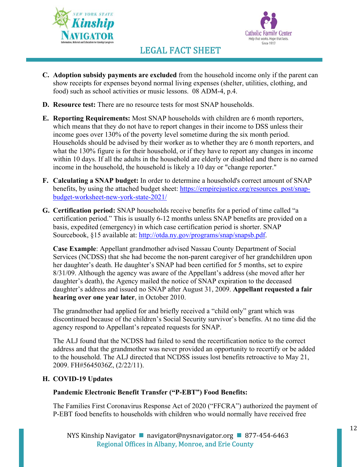



- **C. Adoption subsidy payments are excluded** from the household income only if the parent can show receipts for expenses beyond normal living expenses (shelter, utilities, clothing, and food) such as school activities or music lessons. 08 ADM-4, p.4.
- **D. Resource test:** There are no resource tests for most SNAP households.
- **E. Reporting Requirements:** Most SNAP households with children are 6 month reporters, which means that they do not have to report changes in their income to DSS unless their income goes over 130% of the poverty level sometime during the six month period. Households should be advised by their worker as to whether they are 6 month reporters, and what the 130% figure is for their household, or if they have to report any changes in income within 10 days. If all the adults in the household are elderly or disabled and there is no earned income in the household, the household is likely a 10 day or "change reporter."
- **F. Calculating a SNAP budget:** In order to determine a household's correct amount of SNAP benefits, by using the attached budget sheet: https://empirejustice.org/resources\_post/snapbudget-worksheet-new-york-state-2021/
- **G. Certification period:** SNAP households receive benefits for a period of time called "a certification period." This is usually 6-12 months unless SNAP benefits are provided on a basis, expedited (emergency) in which case certification period is shorter. SNAP Sourcebook, §15 available at: http://otda.ny.gov/programs/snap/snapsb.pdf.

**Case Example**: Appellant grandmother advised Nassau County Department of Social Services (NCDSS) that she had become the non-parent caregiver of her grandchildren upon her daughter's death. He daughter's SNAP had been certified for 5 months, set to expire 8/31/09. Although the agency was aware of the Appellant's address (she moved after her daughter's death), the Agency mailed the notice of SNAP expiration to the deceased daughter's address and issued no SNAP after August 31, 2009. **Appellant requested a fair hearing over one year later**, in October 2010.

The grandmother had applied for and briefly received a "child only" grant which was discontinued because of the children's Social Security survivor's benefits. At no time did the agency respond to Appellant's repeated requests for SNAP.

The ALJ found that the NCDSS had failed to send the recertification notice to the correct address and that the grandmother was never provided an opportunity to recertify or be added to the household. The ALJ directed that NCDSS issues lost benefits retroactive to May 21, 2009. FH#5645036Z, (2/22/11).

### **H. COVID-19 Updates**

### **Pandemic Electronic Benefit Transfer ("P-EBT") Food Benefits:**

The Families First Coronavirus Response Act of 2020 ("FFCRA") authorized the payment of P-EBT food benefits to households with children who would normally have received free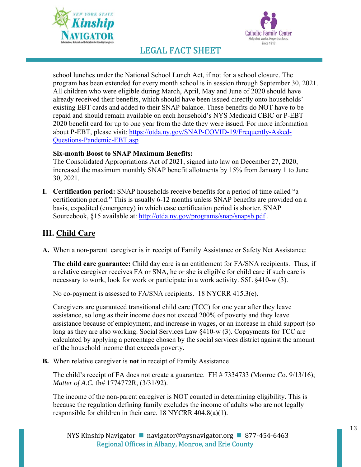



school lunches under the National School Lunch Act, if not for a school closure. The program has been extended for every month school is in session through September 30, 2021. All children who were eligible during March, April, May and June of 2020 should have already received their benefits, which should have been issued directly onto households' existing EBT cards and added to their SNAP balance. These benefits do NOT have to be repaid and should remain available on each household's NYS Medicaid CBIC or P-EBT 2020 benefit card for up to one year from the date they were issued. For more information about P-EBT, please visit: https://otda.ny.gov/SNAP-COVID-19/Frequently-Asked-Questions-Pandemic-EBT.asp

### **Six-month Boost to SNAP Maximum Benefits:**

The Consolidated Appropriations Act of 2021, signed into law on December 27, 2020, increased the maximum monthly SNAP benefit allotments by 15% from January 1 to June 30, 2021.

**I. Certification period:** SNAP households receive benefits for a period of time called "a certification period." This is usually 6-12 months unless SNAP benefits are provided on a basis, expedited (emergency) in which case certification period is shorter. SNAP Sourcebook, §15 available at: http://otda.ny.gov/programs/snap/snapsb.pdf .

### **III. Child Care**

A. When a non-parent caregiver is in receipt of Family Assistance or Safety Net Assistance:

**The child care guarantee:** Child day care is an entitlement for FA/SNA recipients. Thus, if a relative caregiver receives FA or SNA, he or she is eligible for child care if such care is necessary to work, look for work or participate in a work activity. SSL §410-w (3).

No co-payment is assessed to FA/SNA recipients. 18 NYCRR 415.3(e).

Caregivers are guaranteed transitional child care (TCC) for one year after they leave assistance, so long as their income does not exceed 200% of poverty and they leave assistance because of employment, and increase in wages, or an increase in child support (so long as they are also working. Social Services Law §410-w (3). Copayments for TCC are calculated by applying a percentage chosen by the social services district against the amount of the household income that exceeds poverty.

**B.** When relative caregiver is **not** in receipt of Family Assistance

The child's receipt of FA does not create a guarantee. FH # 7334733 (Monroe Co. 9/13/16); *Matter of A.C.* fh# 1774772R, (3/31/92).

The income of the non-parent caregiver is NOT counted in determining eligibility. This is because the regulation defining family excludes the income of adults who are not legally responsible for children in their care. 18 NYCRR 404.8(a)(1).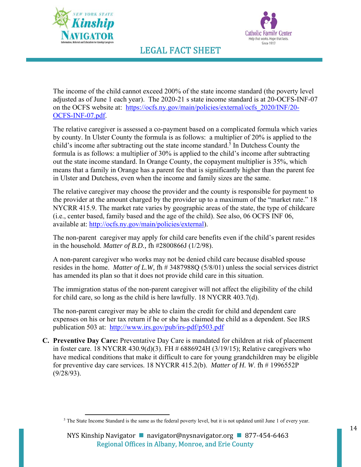



The income of the child cannot exceed 200% of the state income standard (the poverty level adjusted as of June 1 each year). The 2020-21 s state income standard is at 20-OCFS-INF-07 on the OCFS website at: https://ocfs.ny.gov/main/policies/external/ocfs\_2020/INF/20- OCFS-INF-07.pdf.

The relative caregiver is assessed a co-payment based on a complicated formula which varies by county. In Ulster County the formula is as follows: a multiplier of 20% is applied to the child's income after subtracting out the state income standard.<sup>5</sup> In Dutchess County the formula is as follows: a multiplier of 30% is applied to the child's income after subtracting out the state income standard. In Orange County, the copayment multiplier is 35%, which means that a family in Orange has a parent fee that is significantly higher than the parent fee in Ulster and Dutchess, even when the income and family sizes are the same.

The relative caregiver may choose the provider and the county is responsible for payment to the provider at the amount charged by the provider up to a maximum of the "market rate." 18 NYCRR 415.9. The market rate varies by geographic areas of the state, the type of childcare (i.e., center based, family based and the age of the child). See also, 06 OCFS INF 06, available at: http://ocfs.ny.gov/main/policies/external).

The non-parent caregiver may apply for child care benefits even if the child's parent resides in the household. *Matter of B.D.,* fh #2800866J (1/2/98).

A non-parent caregiver who works may not be denied child care because disabled spouse resides in the home. *Matter of L.W,* fh # 3487988Q (5/8/01) unless the social services district has amended its plan so that it does not provide child care in this situation.

The immigration status of the non-parent caregiver will not affect the eligibility of the child for child care, so long as the child is here lawfully. 18 NYCRR 403.7(d).

The non-parent caregiver may be able to claim the credit for child and dependent care expenses on his or her tax return if he or she has claimed the child as a dependent. See IRS publication 503 at: http://www.irs.gov/pub/irs-pdf/p503.pdf

**C. Preventive Day Care:** Preventative Day Care is mandated for children at risk of placement in foster care. 18 NYCRR 430.9(d)(3). FH # 6886924H (3/19/15); Relative caregivers who have medical conditions that make it difficult to care for young grandchildren may be eligible for preventive day care services. 18 NYCRR 415.2(b). *Matter of H. W*. fh # 1996552P (9/28/93).

<sup>5</sup> The State Income Standard is the same as the federal poverty level, but it is not updated until June 1 of every year.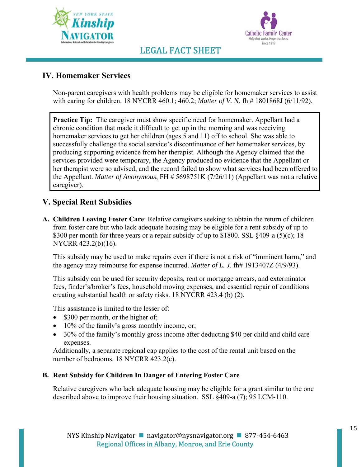



### **IV. Homemaker Services**

Non-parent caregivers with health problems may be eligible for homemaker services to assist with caring for children. 18 NYCRR 460.1; 460.2; *Matter of V. N.* fh # 1801868J (6/11/92).

**Practice Tip:** The caregiver must show specific need for homemaker. Appellant had a chronic condition that made it difficult to get up in the morning and was receiving homemaker services to get her children (ages 5 and 11) off to school. She was able to successfully challenge the social service's discontinuance of her homemaker services, by producing supporting evidence from her therapist. Although the Agency claimed that the services provided were temporary, the Agency produced no evidence that the Appellant or her therapist were so advised, and the record failed to show what services had been offered to the Appellant. *Matter of Anonymous*, FH # 5698751K (7/26/11) (Appellant was not a relative caregiver).

### **V. Special Rent Subsidies**

**A. Children Leaving Foster Care**: Relative caregivers seeking to obtain the return of children from foster care but who lack adequate housing may be eligible for a rent subsidy of up to \$300 per month for three years or a repair subsidy of up to \$1800. SSL  $§$ 409-a (5)(c); 18 NYCRR 423.2(b)(16).

This subsidy may be used to make repairs even if there is not a risk of "imminent harm," and the agency may reimburse for expense incurred. *Matter of L. J*. fh# 1913407Z (4/9/93).

This subsidy can be used for security deposits, rent or mortgage arrears, and exterminator fees, finder's/broker's fees, household moving expenses, and essential repair of conditions creating substantial health or safety risks. 18 NYCRR 423.4 (b) (2).

This assistance is limited to the lesser of:

- $\bullet$  \$300 per month, or the higher of;
- 10% of the family's gross monthly income, or;
- 30% of the family's monthly gross income after deducting \$40 per child and child care expenses.

Additionally, a separate regional cap applies to the cost of the rental unit based on the number of bedrooms. 18 NYCRR 423.2(c).

### **B. Rent Subsidy for Children In Danger of Entering Foster Care**

Relative caregivers who lack adequate housing may be eligible for a grant similar to the one described above to improve their housing situation. SSL §409-a (7); 95 LCM-110.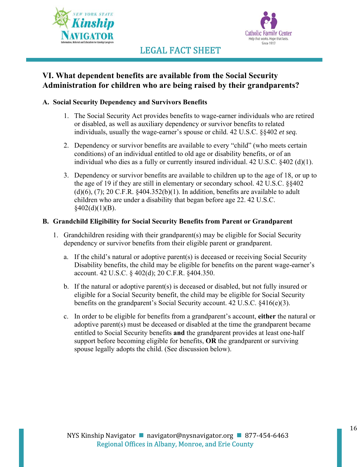



### **VI. What dependent benefits are available from the Social Security Administration for children who are being raised by their grandparents?**

### **A. Social Security Dependency and Survivors Benefits**

- 1. The Social Security Act provides benefits to wage-earner individuals who are retired or disabled, as well as auxiliary dependency or survivor benefits to related individuals, usually the wage-earner's spouse or child. 42 U.S.C. §§402 *et seq.*
- 2. Dependency or survivor benefits are available to every "child" (who meets certain conditions) of an individual entitled to old age or disability benefits, or of an individual who dies as a fully or currently insured individual. 42 U.S.C. §402 (d)(1).
- 3. Dependency or survivor benefits are available to children up to the age of 18, or up to the age of 19 if they are still in elementary or secondary school. 42 U.S.C. §§402  $(d)(6)$ ,  $(7)$ ; 20 C.F.R.  $§$ 404.352 $(b)(1)$ . In addition, benefits are available to adult children who are under a disability that began before age 22. 42 U.S.C.  $$402(d)(1)(B).$

### **B. Grandchild Eligibility for Social Security Benefits from Parent or Grandparent**

- 1. Grandchildren residing with their grandparent(s) may be eligible for Social Security dependency or survivor benefits from their eligible parent or grandparent.
	- a. If the child's natural or adoptive parent(s) is deceased or receiving Social Security Disability benefits, the child may be eligible for benefits on the parent wage-earner's account. 42 U.S.C. § 402(d); 20 C.F.R. §404.350.
	- b. If the natural or adoptive parent(s) is deceased or disabled, but not fully insured or eligible for a Social Security benefit, the child may be eligible for Social Security benefits on the grandparent's Social Security account. 42 U.S.C. §416(e)(3).
	- c. In order to be eligible for benefits from a grandparent's account, **either** the natural or adoptive parent(s) must be deceased or disabled at the time the grandparent became entitled to Social Security benefits **and** the grandparent provides at least one-half support before becoming eligible for benefits, **OR** the grandparent or surviving spouse legally adopts the child. (See discussion below).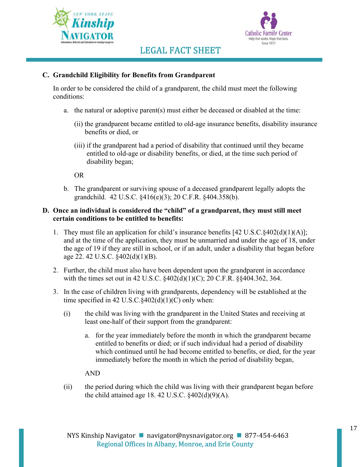



### **C. Grandchild Eligibility for Benefits from Grandparent**

In order to be considered the child of a grandparent, the child must meet the following conditions:

- a. the natural or adoptive parent(s) must either be deceased or disabled at the time:
	- (ii) the grandparent became entitled to old-age insurance benefits, disability insurance benefits or died, or
	- (iii) if the grandparent had a period of disability that continued until they became entitled to old-age or disability benefits, or died, at the time such period of disability began;

OR

b. The grandparent or surviving spouse of a deceased grandparent legally adopts the grandchild. 42 U.S.C. §416(e)(3); 20 C.F.R. §404.358(b).

### **D. Once an individual is considered the "child" of a grandparent, they must still meet certain conditions to be entitled to benefits:**

- 1. They must file an application for child's insurance benefits  $[42 \text{ U.S.C.}\$  $[402(d)(1)(A)]$ ; and at the time of the application, they must be unmarried and under the age of 18, under the age of 19 if they are still in school, or if an adult, under a disability that began before age 22. 42 U.S.C. §402(d)(1)(B).
- 2. Further, the child must also have been dependent upon the grandparent in accordance with the times set out in 42 U.S.C. §402(d)(1)(C); 20 C.F.R. §§404.362, 364.
- 3. In the case of children living with grandparents, dependency will be established at the time specified in 42 U.S.C. $\S 402(d)(1)(C)$  only when:
	- (i) the child was living with the grandparent in the United States and receiving at least one-half of their support from the grandparent:
		- a. for the year immediately before the month in which the grandparent became entitled to benefits or died; or if such individual had a period of disability which continued until he had become entitled to benefits, or died, for the year immediately before the month in which the period of disability began,

AND

(ii) the period during which the child was living with their grandparent began before the child attained age 18. 42 U.S.C.  $\frac{$402(d)(9)(A)}{A}$ .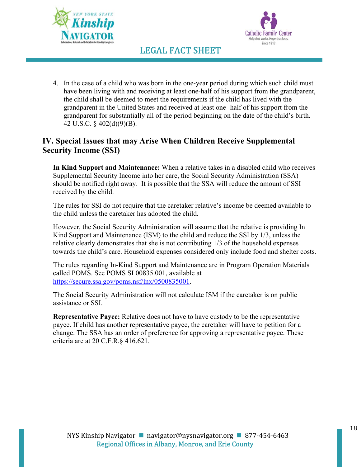



4. In the case of a child who was born in the one-year period during which such child must have been living with and receiving at least one-half of his support from the grandparent, the child shall be deemed to meet the requirements if the child has lived with the grandparent in the United States and received at least one- half of his support from the grandparent for substantially all of the period beginning on the date of the child's birth. 42 U.S.C. § 402(d)(9)(B).

### **IV. Special Issues that may Arise When Children Receive Supplemental Security Income (SSI)**

**In Kind Support and Maintenance:** When a relative takes in a disabled child who receives Supplemental Security Income into her care, the Social Security Administration (SSA) should be notified right away. It is possible that the SSA will reduce the amount of SSI received by the child.

The rules for SSI do not require that the caretaker relative's income be deemed available to the child unless the caretaker has adopted the child.

However, the Social Security Administration will assume that the relative is providing In Kind Support and Maintenance (ISM) to the child and reduce the SSI by 1/3, unless the relative clearly demonstrates that she is not contributing 1/3 of the household expenses towards the child's care. Household expenses considered only include food and shelter costs.

The rules regarding In-Kind Support and Maintenance are in Program Operation Materials called POMS. See POMS SI 00835.001, available at https://secure.ssa.gov/poms.nsf/lnx/0500835001.

The Social Security Administration will not calculate ISM if the caretaker is on public assistance or SSI.

**Representative Payee:** Relative does not have to have custody to be the representative payee. If child has another representative payee, the caretaker will have to petition for a change. The SSA has an order of preference for approving a representative payee. These criteria are at 20 C.F.R.§ 416.621.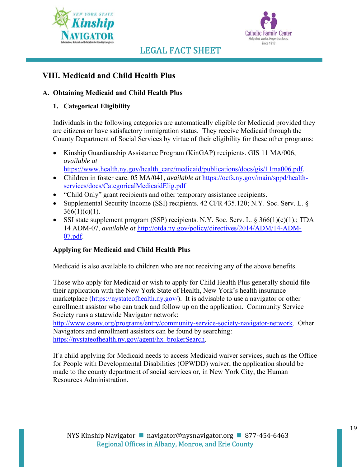



### **VIII. Medicaid and Child Health Plus**

### **A. Obtaining Medicaid and Child Health Plus**

### **1. Categorical Eligibility**

Individuals in the following categories are automatically eligible for Medicaid provided they are citizens or have satisfactory immigration status. They receive Medicaid through the County Department of Social Services by virtue of their eligibility for these other programs:

- Kinship Guardianship Assistance Program (KinGAP) recipients. GIS 11 MA/006, *available at* 
	- https://www.health.ny.gov/health\_care/medicaid/publications/docs/gis/11ma006.pdf.
- Children in foster care. 05 MA/041, *available at* https://ocfs.ny.gov/main/sppd/healthservices/docs/CategoricalMedicaidElig.pdf
- "Child Only" grant recipients and other temporary assistance recipients.
- Supplemental Security Income (SSI) recipients. 42 CFR 435.120; N.Y. Soc. Serv. L. §  $366(1)(c)(1)$ .
- SSI state supplement program (SSP) recipients. N.Y. Soc. Serv. L.  $\S 366(1)(c)(1)$ .; TDA 14 ADM-07, *available at* http://otda.ny.gov/policy/directives/2014/ADM/14-ADM-07.pdf.

### **Applying for Medicaid and Child Health Plus**

Medicaid is also available to children who are not receiving any of the above benefits.

Those who apply for Medicaid or wish to apply for Child Health Plus generally should file their application with the New York State of Health, New York's health insurance marketplace (https://nystateofhealth.ny.gov/). It is advisable to use a navigator or other enrollment assistor who can track and follow up on the application. Community Service Society runs a statewide Navigator network:

http://www.cssny.org/programs/entry/community-service-society-navigator-network. Other Navigators and enrollment assistors can be found by searching: https://nystateofhealth.ny.gov/agent/hx\_brokerSearch.

If a child applying for Medicaid needs to access Medicaid waiver services, such as the Office for People with Developmental Disabilities (OPWDD) waiver, the application should be made to the county department of social services or, in New York City, the Human Resources Administration.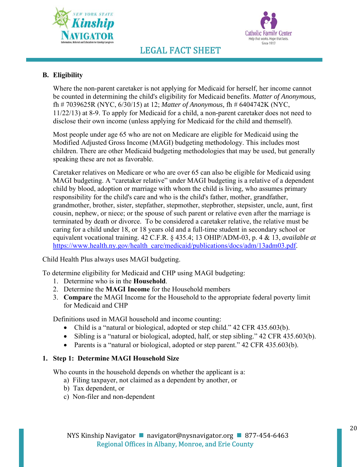



### **B. Eligibility**

Where the non-parent caretaker is not applying for Medicaid for herself, her income cannot be counted in determining the child's eligibility for Medicaid benefits. *Matter of Anonymous,* fh # 7039625R (NYC, 6/30/15) at 12; *Matter of Anonymous,* fh # 6404742K (NYC, 11/22/13) at 8-9. To apply for Medicaid for a child, a non-parent caretaker does not need to disclose their own income (unless applying for Medicaid for the child and themself).

Most people under age 65 who are not on Medicare are eligible for Medicaid using the Modified Adjusted Gross Income (MAGI) budgeting methodology. This includes most children. There are other Medicaid budgeting methodologies that may be used, but generally speaking these are not as favorable.

Caretaker relatives on Medicare or who are over 65 can also be eligible for Medicaid using MAGI budgeting. A "caretaker relative" under MAGI budgeting is a relative of a dependent child by blood, adoption or marriage with whom the child is living, who assumes primary responsibility for the child's care and who is the child's father, mother, grandfather, grandmother, brother, sister, stepfather, stepmother, stepbrother, stepsister, uncle, aunt, first cousin, nephew, or niece; or the spouse of such parent or relative even after the marriage is terminated by death or divorce. To be considered a caretaker relative, the relative must be caring for a child under 18, or 18 years old and a full-time student in secondary school or equivalent vocational training. 42 C.F.R. § 435.4; 13 OHIP/ADM-03, p. 4 & 13, *available at* https://www.health.ny.gov/health\_care/medicaid/publications/docs/adm/13adm03.pdf.

Child Health Plus always uses MAGI budgeting.

To determine eligibility for Medicaid and CHP using MAGI budgeting:

- 1. Determine who is in the **Household**.
- 2. Determine the **MAGI Income** for the Household members
- 3. **Compare** the MAGI Income for the Household to the appropriate federal poverty limit for Medicaid and CHP

Definitions used in MAGI household and income counting:

- Child is a "natural or biological, adopted or step child." 42 CFR 435.603(b).
- Sibling is a "natural or biological, adopted, half, or step sibling." 42 CFR 435.603(b).
- Parents is a "natural or biological, adopted or step parent." 42 CFR 435.603(b).

### **1. Step 1: Determine MAGI Household Size**

Who counts in the household depends on whether the applicant is a:

- a) Filing taxpayer, not claimed as a dependent by another, or
- b) Tax dependent, or
- c) Non-filer and non-dependent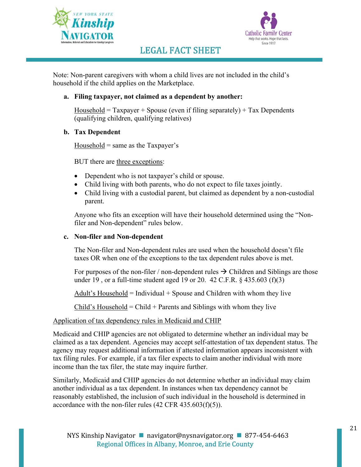



Note: Non-parent caregivers with whom a child lives are not included in the child's household if the child applies on the Marketplace.

### **a. Filing taxpayer, not claimed as a dependent by another:**

Household =  $Taxpayer + Spouse$  (even if filing separately) +  $Tax$  Dependents (qualifying children, qualifying relatives)

### **b. Tax Dependent**

Household  $=$  same as the Taxpayer's

BUT there are three exceptions:

- Dependent who is not taxpayer's child or spouse.
- Child living with both parents, who do not expect to file taxes jointly.
- Child living with a custodial parent, but claimed as dependent by a non-custodial parent.

Anyone who fits an exception will have their household determined using the "Nonfiler and Non-dependent" rules below.

#### **c. Non-filer and Non-dependent**

The Non-filer and Non-dependent rules are used when the household doesn't file taxes OR when one of the exceptions to the tax dependent rules above is met.

For purposes of the non-filer / non-dependent rules  $\rightarrow$  Children and Siblings are those under 19 , or a full-time student aged 19 or 20. 42 C.F.R. § 435.603 (f)(3)

 $\Delta$ dult's Household = Individual + Spouse and Children with whom they live

Child's Household = Child + Parents and Siblings with whom they live

### Application of tax dependency rules in Medicaid and CHIP

Medicaid and CHIP agencies are not obligated to determine whether an individual may be claimed as a tax dependent. Agencies may accept self-attestation of tax dependent status. The agency may request additional information if attested information appears inconsistent with tax filing rules. For example, if a tax filer expects to claim another individual with more income than the tax filer, the state may inquire further.

Similarly, Medicaid and CHIP agencies do not determine whether an individual may claim another individual as a tax dependent. In instances when tax dependency cannot be reasonably established, the inclusion of such individual in the household is determined in accordance with the non-filer rules (42 CFR 435.603(f)(5)).

21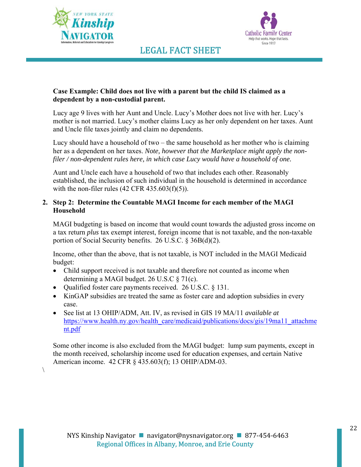

 $\setminus$ 



### LEGAL FACT SHEET

### **Case Example: Child does not live with a parent but the child IS claimed as a dependent by a non-custodial parent.**

Lucy age 9 lives with her Aunt and Uncle. Lucy's Mother does not live with her. Lucy's mother is not married. Lucy's mother claims Lucy as her only dependent on her taxes. Aunt and Uncle file taxes jointly and claim no dependents.

Lucy should have a household of two – the same household as her mother who is claiming her as a dependent on her taxes. *Note, however that the Marketplace might apply the nonfiler / non-dependent rules here, in which case Lucy would have a household of one.*

Aunt and Uncle each have a household of two that includes each other. Reasonably established, the inclusion of such individual in the household is determined in accordance with the non-filer rules  $(42 \text{ CFR } 435.603(f)(5))$ .

### **2. Step 2: Determine the Countable MAGI Income for each member of the MAGI Household**

MAGI budgeting is based on income that would count towards the adjusted gross income on a tax return *plus* tax exempt interest, foreign income that is not taxable, and the non-taxable portion of Social Security benefits. 26 U.S.C. § 36B(d)(2).

Income, other than the above, that is not taxable, is NOT included in the MAGI Medicaid budget:

- Child support received is not taxable and therefore not counted as income when determining a MAGI budget. 26 U.S.C § 71(c).
- Oualified foster care payments received.  $26$  U.S.C.  $§$  131.
- KinGAP subsidies are treated the same as foster care and adoption subsidies in every case.
- See list at 13 OHIP/ADM, Att. IV, as revised in GIS 19 MA/11 *available at*  https://www.health.ny.gov/health\_care/medicaid/publications/docs/gis/19ma11\_attachme nt.pdf

Some other income is also excluded from the MAGI budget: lump sum payments, except in the month received, scholarship income used for education expenses, and certain Native American income. 42 CFR § 435.603(f); 13 OHIP/ADM-03.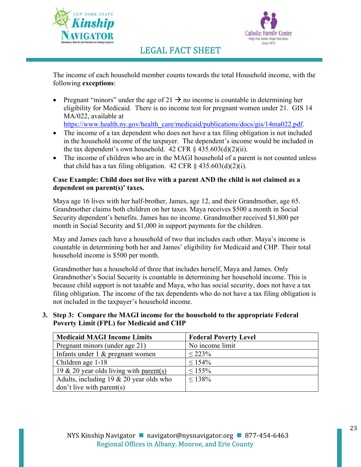



The income of each household member counts towards the total Household income, with the following **exceptions**:

- Pregnant "minors" under the age of  $21 \rightarrow$  no income is countable in determining her eligibility for Medicaid. There is no income test for pregnant women under 21. GIS 14 MA/022, available at https://www.health.ny.gov/health\_care/medicaid/publications/docs/gis/14ma022.pdf.
- The income of a tax dependent who does not have a tax filing obligation is not included in the household income of the taxpayer. The dependent's income would be included in the tax dependent's own household.  $42 \text{ CFR } \frac{6}{5}$   $435.603\text{(d)}(2)\text{(ii)}$ .
- The income of children who are in the MAGI household of a parent is not counted unless that child has a tax filing obligation.  $42$  CFR  $\frac{6}{7}$   $435.603(d)(2)(i)$ .

### **Case Example: Child does not live with a parent AND the child is not claimed as a dependent on parent(s)' taxes.**

Maya age 16 lives with her half-brother, James, age 12, and their Grandmother, age 65. Grandmother claims both children on her taxes. Maya receives \$500 a month in Social Security dependent's benefits. James has no income. Grandmother received \$1,800 per month in Social Security and \$1,000 in support payments for the children.

May and James each have a household of two that includes each other. Maya's income is countable in determining both her and James' eligibility for Medicaid and CHP. Their total household income is \$500 per month.

Grandmother has a household of three that includes herself, Maya and James. Only Grandmother's Social Security is countable in determining her household income. This is because child support is not taxable and Maya, who has social security, does not have a tax filing obligation. The income of the tax dependents who do not have a tax filing obligation is not included in the taxpayer's household income.

### **3. Step 3: Compare the MAGI income for the household to the appropriate Federal Poverty Limit (FPL) for Medicaid and CHP**

| <b>Medicaid MAGI Income Limits</b>         | <b>Federal Poverty Level</b> |
|--------------------------------------------|------------------------------|
| Pregnant minors (under age 21)             | No income limit              |
| Infants under 1 & pregnant women           | $< 223\%$                    |
| Children age 1-18                          | $\leq 154\%$                 |
| 19 & 20 year olds living with parent(s)    | $< 155\%$                    |
| Adults, including $19 \& 20$ year olds who | $< 138\%$                    |
| don't live with parent(s)                  |                              |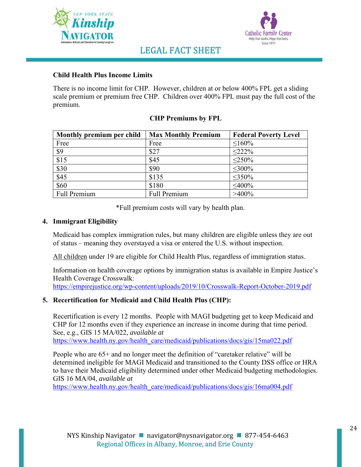



### **Child Health Plus Income Limits**

There is no income limit for CHP. However, children at or below 400% FPL get a sliding scale premium or premium free CHP. Children over 400% FPL must pay the full cost of the premium.

### **CHP Premiums by FPL**

| Monthly premium per child | <b>Max Monthly Premium</b> | <b>Federal Poverty Level</b> |
|---------------------------|----------------------------|------------------------------|
| Free                      | Free                       | $\leq 160\%$                 |
| \$9                       | \$27                       | $<$ 222%                     |
| \$15                      | \$45                       | $<$ 250%                     |
| \$30                      | \$90                       | $\leq 300\%$                 |
| \$45                      | \$135                      | $\leq 350\%$                 |
| \$60                      | \$180                      | $<$ 400%                     |
| Full Premium              | <b>Full Premium</b>        | $>400\%$                     |

\*Full premium costs will vary by health plan.

### **4. Immigrant Eligibility**

Medicaid has complex immigration rules, but many children are eligible unless they are out of status – meaning they overstayed a visa or entered the U.S. without inspection.

All children under 19 are eligible for Child Health Plus, regardless of immigration status.

Information on health coverage options by immigration status is available in Empire Justice's Health Coverage Crosswalk:

https://empirejustice.org/wp-content/uploads/2019/10/Crosswalk-Report-October-2019.pdf

### **5. Recertification for Medicaid and Child Health Plus (CHP):**

Recertification is every 12 months. People with MAGI budgeting get to keep Medicaid and CHP for 12 months even if they experience an increase in income during that time period. See, e.g., GIS 15 MA/022, *available at*  https://www.health.ny.gov/health\_care/medicaid/publications/docs/gis/15ma022.pdf

People who are 65+ and no longer meet the definition of "caretaker relative" will be determined ineligible for MAGI Medicaid and transitioned to the County DSS office or HRA to have their Medicaid eligibility determined under other Medicaid budgeting methodologies. GIS 16 MA/04, *available at* 

https://www.health.ny.gov/health\_care/medicaid/publications/docs/gis/16ma004.pdf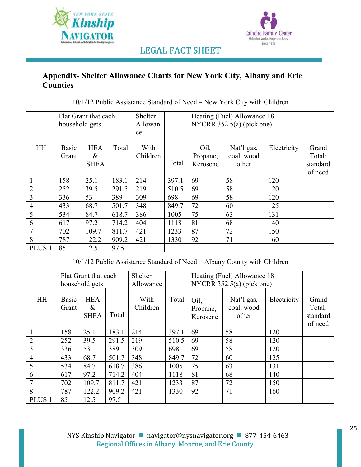



### **Appendix- Shelter Allowance Charts for New York City, Albany and Erie Counties**

|  | $10/1/12$ Public Assistance Standard of Need – New York City with Children |
|--|----------------------------------------------------------------------------|
|  |                                                                            |

|                   | Flat Grant that each |                                |       | Heating (Fuel) Allowance 18<br>Shelter |       |                              |                                   |             |                                        |  |
|-------------------|----------------------|--------------------------------|-------|----------------------------------------|-------|------------------------------|-----------------------------------|-------------|----------------------------------------|--|
|                   | household gets       |                                |       | Allowan                                |       |                              | NYCRR $352.5(a)$ (pick one)       |             |                                        |  |
|                   |                      |                                |       | ce                                     |       |                              |                                   |             |                                        |  |
| <b>HH</b>         | Basic<br>Grant       | <b>HEA</b><br>&<br><b>SHEA</b> | Total | With<br>Children                       | Total | Oil,<br>Propane,<br>Kerosene | Nat'l gas,<br>coal, wood<br>other | Electricity | Grand<br>Total:<br>standard<br>of need |  |
|                   | 158                  | 25.1                           | 183.1 | 214                                    | 397.1 | 69                           | 58                                | 120         |                                        |  |
| $\overline{2}$    | 252                  | 39.5                           | 291.5 | 219                                    | 510.5 | 69                           | 58                                | 120         |                                        |  |
| 3                 | 336                  | 53                             | 389   | 309                                    | 698   | 69                           | 58                                | 120         |                                        |  |
| $\overline{4}$    | 433                  | 68.7                           | 501.7 | 348                                    | 849.7 | 72                           | 60                                | 125         |                                        |  |
| 5                 | 534                  | 84.7                           | 618.7 | 386                                    | 1005  | 75                           | 63                                | 131         |                                        |  |
| 6                 | 617                  | 97.2                           | 714.2 | 404                                    | 1118  | 81                           | 68                                | 140         |                                        |  |
| 7                 | 702                  | 109.7                          | 811.7 | 421                                    | 1233  | 87                           | 72                                | 150         |                                        |  |
| 8                 | 787                  | 122.2                          | 909.2 | 421                                    | 1330  | 92                           | 71                                | 160         |                                        |  |
| PLUS <sub>1</sub> | 85                   | 12.5                           | 97.5  |                                        |       |                              |                                   |             |                                        |  |

10/1/12 Public Assistance Standard of Need – Albany County with Children

|                   | Flat Grant that each<br>household gets |                                   |       | Shelter<br>Allowance |       | Heating (Fuel) Allowance 18<br>NYCRR $352.5(a)$ (pick one) |                                   |             |                                        |
|-------------------|----------------------------------------|-----------------------------------|-------|----------------------|-------|------------------------------------------------------------|-----------------------------------|-------------|----------------------------------------|
| <b>HH</b>         | Basic<br>Grant                         | <b>HEA</b><br>$\&$<br><b>SHEA</b> | Total | With<br>Children     | Total | Oil,<br>Propane,<br>Kerosene                               | Nat'l gas,<br>coal, wood<br>other | Electricity | Grand<br>Total:<br>standard<br>of need |
|                   | 158                                    | 25.1                              | 183.1 | 214                  | 397.1 | 69                                                         | 58                                | 120         |                                        |
| $\overline{2}$    | 252                                    | 39.5                              | 291.5 | 219                  | 510.5 | 69                                                         | 58                                | 120         |                                        |
| 3                 | 336                                    | 53                                | 389   | 309                  | 698   | 69                                                         | 58                                | 120         |                                        |
| $\overline{4}$    | 433                                    | 68.7                              | 501.7 | 348                  | 849.7 | 72                                                         | 60                                | 125         |                                        |
| 5                 | 534                                    | 84.7                              | 618.7 | 386                  | 1005  | 75                                                         | 63                                | 131         |                                        |
| 6                 | 617                                    | 97.2                              | 714.2 | 404                  | 1118  | 81                                                         | 68                                | 140         |                                        |
| 7                 | 702                                    | 109.7                             | 811.7 | 421                  | 1233  | 87                                                         | 72                                | 150         |                                        |
| 8                 | 787                                    | 122.2                             | 909.2 | 421                  | 1330  | 92                                                         | 71                                | 160         |                                        |
| PLUS <sub>1</sub> | 85                                     | 12.5                              | 97.5  |                      |       |                                                            |                                   |             |                                        |